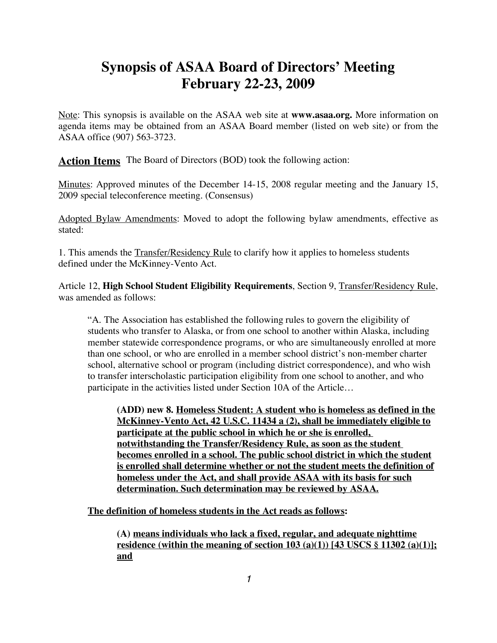# **Synopsis of ASAA Board of Directors' Meeting February 22-23, 2009**

Note: This synopsis is available on the ASAA web site at **www.asaa.org.** More information on agenda items may be obtained from an ASAA Board member (listed on web site) or from the ASAA office (907) 563-3723.

**Action Items** The Board of Directors (BOD) took the following action:

Minutes: Approved minutes of the December 14-15, 2008 regular meeting and the January 15, 2009 special teleconference meeting. (Consensus)

Adopted Bylaw Amendments: Moved to adopt the following bylaw amendments, effective as stated:

1. This amends the Transfer/Residency Rule to clarify how it applies to homeless students defined under the McKinney-Vento Act.

Article 12, **High School Student Eligibility Requirements**, Section 9, Transfer/Residency Rule, was amended as follows:

"A. The Association has established the following rules to govern the eligibility of students who transfer to Alaska, or from one school to another within Alaska, including member statewide correspondence programs, or who are simultaneously enrolled at more than one school, or who are enrolled in a member school district's non-member charter school, alternative school or program (including district correspondence), and who wish to transfer interscholastic participation eligibility from one school to another, and who participate in the activities listed under Section 10A of the Article…

**(ADD) new 8. Homeless Student: A student who is homeless as defined in the McKinney-Vento Act, 42 U.S.C. 11434 a (2), shall be immediately eligible to participate at the public school in which he or she is enrolled, notwithstanding the Transfer/Residency Rule, as soon as the student becomes enrolled in a school. The public school district in which the student is enrolled shall determine whether or not the student meets the definition of homeless under the Act, and shall provide ASAA with its basis for such determination. Such determination may be reviewed by ASAA.**

**The definition of homeless students in the Act reads as follows:**

**(A) means individuals who lack a fixed, regular, and adequate nighttime residence (within the meaning of section 103 (a)(1)) [43 USCS § 11302 (a)(1)]; and**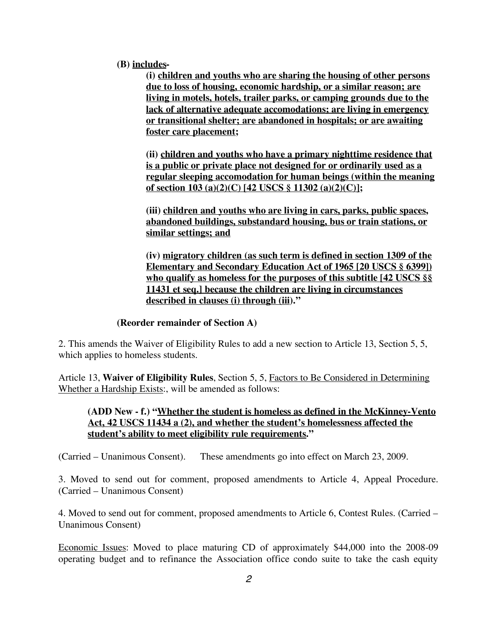**(B) includes-**

**(i) children and youths who are sharing the housing of other persons due to loss of housing, economic hardship, or a similar reason; are living in motels, hotels, trailer parks, or camping grounds due to the lack of alternative adequate accomodations; are living in emergency or transitional shelter; are abandoned in hospitals; or are awaiting foster care placement;**

**(ii) children and youths who have a primary nighttime residence that is a public or private place not designed for or ordinarily used as a regular sleeping accomodation for human beings (within the meaning of section 103 (a)(2)(C) [42 USCS § 11302 (a)(2)(C)];**

**(iii) children and youths who are living in cars, parks, public spaces, abandoned buildings, substandard housing, bus or train stations, or similar settings; and**

**(iv) migratory children (as such term is defined in section 1309 of the Elementary and Secondary Education Act of 1965 [20 USCS § 6399]) who qualify as homeless for the purposes of this subtitle [42 USCS §§ 11431 et seq.] because the children are living in circumstances described in clauses (i) through (iii)."**

#### **(Reorder remainder of Section A)**

2. This amends the Waiver of Eligibility Rules to add a new section to Article 13, Section 5, 5, which applies to homeless students.

Article 13, **Waiver of Eligibility Rules**, Section 5, 5, Factors to Be Considered in Determining Whether a Hardship Exists:, will be amended as follows:

### **(ADD New - f.) "Whether the student is homeless as defined in the McKinney-Vento Act, 42 USCS 11434 a (2), and whether the student's homelessness affected the student's ability to meet eligibility rule requirements."**

(Carried – Unanimous Consent). These amendments go into effect on March 23, 2009.

3. Moved to send out for comment, proposed amendments to Article 4, Appeal Procedure. (Carried – Unanimous Consent)

4. Moved to send out for comment, proposed amendments to Article 6, Contest Rules. (Carried – Unanimous Consent)

Economic Issues: Moved to place maturing CD of approximately \$44,000 into the 2008-09 operating budget and to refinance the Association office condo suite to take the cash equity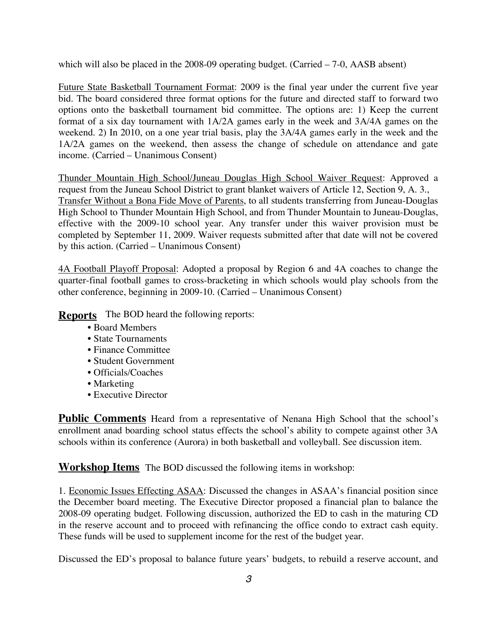which will also be placed in the 2008-09 operating budget. (Carried – 7-0, AASB absent)

Future State Basketball Tournament Format: 2009 is the final year under the current five year bid. The board considered three format options for the future and directed staff to forward two options onto the basketball tournament bid committee. The options are: 1) Keep the current format of a six day tournament with 1A/2A games early in the week and 3A/4A games on the weekend. 2) In 2010, on a one year trial basis, play the 3A/4A games early in the week and the 1A/2A games on the weekend, then assess the change of schedule on attendance and gate income. (Carried – Unanimous Consent)

Thunder Mountain High School/Juneau Douglas High School Waiver Request: Approved a request from the Juneau School District to grant blanket waivers of Article 12, Section 9, A. 3., Transfer Without a Bona Fide Move of Parents, to all students transferring from Juneau-Douglas High School to Thunder Mountain High School, and from Thunder Mountain to Juneau-Douglas, effective with the 2009-10 school year. Any transfer under this waiver provision must be completed by September 11, 2009. Waiver requests submitted after that date will not be covered by this action. (Carried – Unanimous Consent)

4A Football Playoff Proposal: Adopted a proposal by Region 6 and 4A coaches to change the quarter-final football games to cross-bracketing in which schools would play schools from the other conference, beginning in 2009-10. (Carried – Unanimous Consent)

**Reports** The BOD heard the following reports:

- Board Members
- State Tournaments
- Finance Committee
- Student Government
- Officials/Coaches
- Marketing
- Executive Director

**Public Comments** Heard from a representative of Nenana High School that the school's enrollment anad boarding school status effects the school's ability to compete against other 3A schools within its conference (Aurora) in both basketball and volleyball. See discussion item.

**Workshop Items** The BOD discussed the following items in workshop:

1. Economic Issues Effecting ASAA: Discussed the changes in ASAA's financial position since the December board meeting. The Executive Director proposed a financial plan to balance the 2008-09 operating budget. Following discussion, authorized the ED to cash in the maturing CD in the reserve account and to proceed with refinancing the office condo to extract cash equity. These funds will be used to supplement income for the rest of the budget year.

Discussed the ED's proposal to balance future years' budgets, to rebuild a reserve account, and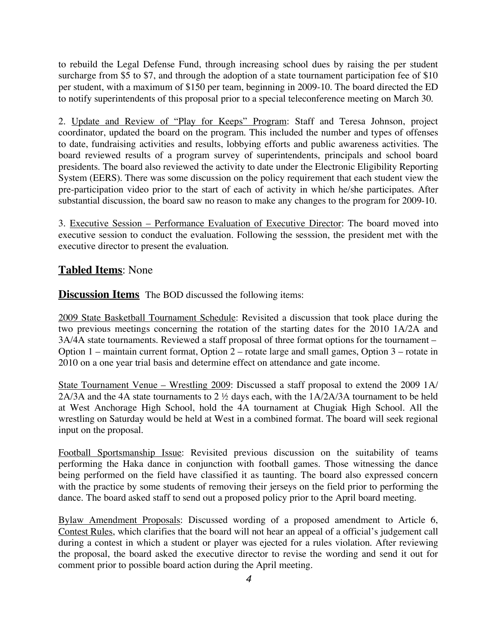to rebuild the Legal Defense Fund, through increasing school dues by raising the per student surcharge from \$5 to \$7, and through the adoption of a state tournament participation fee of \$10 per student, with a maximum of \$150 per team, beginning in 2009-10. The board directed the ED to notify superintendents of this proposal prior to a special teleconference meeting on March 30.

2. Update and Review of "Play for Keeps" Program: Staff and Teresa Johnson, project coordinator, updated the board on the program. This included the number and types of offenses to date, fundraising activities and results, lobbying efforts and public awareness activities. The board reviewed results of a program survey of superintendents, principals and school board presidents. The board also reviewed the activity to date under the Electronic Eligibility Reporting System (EERS). There was some discussion on the policy requirement that each student view the pre-participation video prior to the start of each of activity in which he/she participates. After substantial discussion, the board saw no reason to make any changes to the program for 2009-10.

3. Executive Session – Performance Evaluation of Executive Director: The board moved into executive session to conduct the evaluation. Following the sesssion, the president met with the executive director to present the evaluation.

## **Tabled Items**: None

**Discussion Items** The BOD discussed the following items:

2009 State Basketball Tournament Schedule: Revisited a discussion that took place during the two previous meetings concerning the rotation of the starting dates for the 2010 1A/2A and 3A/4A state tournaments. Reviewed a staff proposal of three format options for the tournament – Option 1 – maintain current format, Option 2 – rotate large and small games, Option 3 – rotate in 2010 on a one year trial basis and determine effect on attendance and gate income.

State Tournament Venue – Wrestling 2009: Discussed a staff proposal to extend the 2009 1A/ 2A/3A and the 4A state tournaments to 2 ½ days each, with the 1A/2A/3A tournament to be held at West Anchorage High School, hold the 4A tournament at Chugiak High School. All the wrestling on Saturday would be held at West in a combined format. The board will seek regional input on the proposal.

Football Sportsmanship Issue: Revisited previous discussion on the suitability of teams performing the Haka dance in conjunction with football games. Those witnessing the dance being performed on the field have classified it as taunting. The board also expressed concern with the practice by some students of removing their jerseys on the field prior to performing the dance. The board asked staff to send out a proposed policy prior to the April board meeting.

Bylaw Amendment Proposals: Discussed wording of a proposed amendment to Article 6, Contest Rules, which clarifies that the board will not hear an appeal of a official's judgement call during a contest in which a student or player was ejected for a rules violation. After reviewing the proposal, the board asked the executive director to revise the wording and send it out for comment prior to possible board action during the April meeting.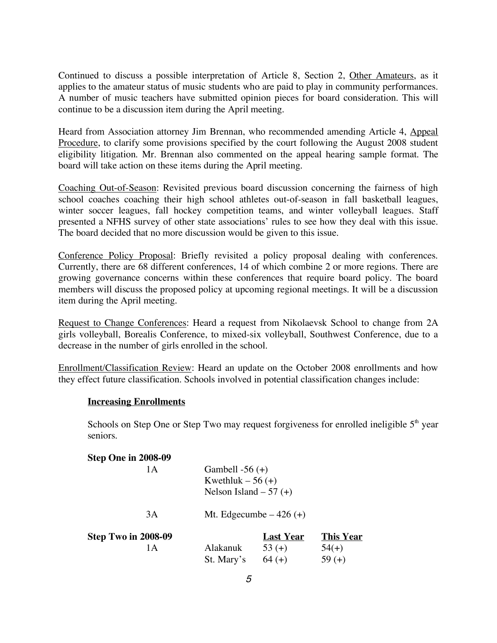Continued to discuss a possible interpretation of Article 8, Section 2, Other Amateurs, as it applies to the amateur status of music students who are paid to play in community performances. A number of music teachers have submitted opinion pieces for board consideration. This will continue to be a discussion item during the April meeting.

Heard from Association attorney Jim Brennan, who recommended amending Article 4, Appeal Procedure, to clarify some provisions specified by the court following the August 2008 student eligibility litigation. Mr. Brennan also commented on the appeal hearing sample format. The board will take action on these items during the April meeting.

Coaching Out-of-Season: Revisited previous board discussion concerning the fairness of high school coaches coaching their high school athletes out-of-season in fall basketball leagues, winter soccer leagues, fall hockey competition teams, and winter volleyball leagues. Staff presented a NFHS survey of other state associations' rules to see how they deal with this issue. The board decided that no more discussion would be given to this issue.

Conference Policy Proposal: Briefly revisited a policy proposal dealing with conferences. Currently, there are 68 different conferences, 14 of which combine 2 or more regions. There are growing governance concerns within these conferences that require board policy. The board members will discuss the proposed policy at upcoming regional meetings. It will be a discussion item during the April meeting.

Request to Change Conferences: Heard a request from Nikolaevsk School to change from 2A girls volleyball, Borealis Conference, to mixed-six volleyball, Southwest Conference, due to a decrease in the number of girls enrolled in the school.

Enrollment/Classification Review: Heard an update on the October 2008 enrollments and how they effect future classification. Schools involved in potential classification changes include:

#### **Increasing Enrollments**

Schools on Step One or Step Two may request forgiveness for enrolled ineligible  $5<sup>th</sup>$  year seniors.

| Step One in 2008-09 |                          |                  |                  |
|---------------------|--------------------------|------------------|------------------|
| 1Α                  | Gambell $-56 (+)$        |                  |                  |
|                     | Kwethluk $-56$ (+)       |                  |                  |
|                     | Nelson Island $-57$ (+)  |                  |                  |
| 3A                  | Mt. Edgecumbe $-426$ (+) |                  |                  |
| Step Two in 2008-09 |                          | <b>Last Year</b> | <b>This Year</b> |
| 1 A                 | Alakanuk                 | $53(+)$          | $54(+)$          |
|                     | St. Mary's               | $64 (+)$         | 59 $(+)$         |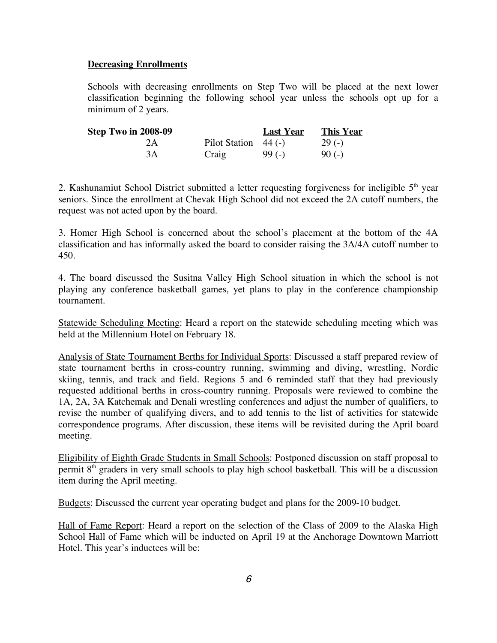#### **Decreasing Enrollments**

Schools with decreasing enrollments on Step Two will be placed at the next lower classification beginning the following school year unless the schools opt up for a minimum of 2 years.

| Step Two in 2008-09 |                        | <b>Last Year</b> | <b>This Year</b> |
|---------------------|------------------------|------------------|------------------|
| 2Α                  | Pilot Station $44$ (-) |                  | $29(-)$          |
| 3A                  | Craig                  | $99(-)$          | $90(-)$          |

2. Kashunamiut School District submitted a letter requesting forgiveness for ineligible  $5<sup>th</sup>$  year seniors. Since the enrollment at Chevak High School did not exceed the 2A cutoff numbers, the request was not acted upon by the board.

3. Homer High School is concerned about the school's placement at the bottom of the 4A classification and has informally asked the board to consider raising the 3A/4A cutoff number to 450.

4. The board discussed the Susitna Valley High School situation in which the school is not playing any conference basketball games, yet plans to play in the conference championship tournament.

Statewide Scheduling Meeting: Heard a report on the statewide scheduling meeting which was held at the Millennium Hotel on February 18.

Analysis of State Tournament Berths for Individual Sports: Discussed a staff prepared review of state tournament berths in cross-country running, swimming and diving, wrestling, Nordic skiing, tennis, and track and field. Regions 5 and 6 reminded staff that they had previously requested additional berths in cross-country running. Proposals were reviewed to combine the 1A, 2A, 3A Katchemak and Denali wrestling conferences and adjust the number of qualifiers, to revise the number of qualifying divers, and to add tennis to the list of activities for statewide correspondence programs. After discussion, these items will be revisited during the April board meeting.

Eligibility of Eighth Grade Students in Small Schools: Postponed discussion on staff proposal to permit 8<sup>th</sup> graders in very small schools to play high school basketball. This will be a discussion item during the April meeting.

Budgets: Discussed the current year operating budget and plans for the 2009-10 budget.

Hall of Fame Report: Heard a report on the selection of the Class of 2009 to the Alaska High School Hall of Fame which will be inducted on April 19 at the Anchorage Downtown Marriott Hotel. This year's inductees will be: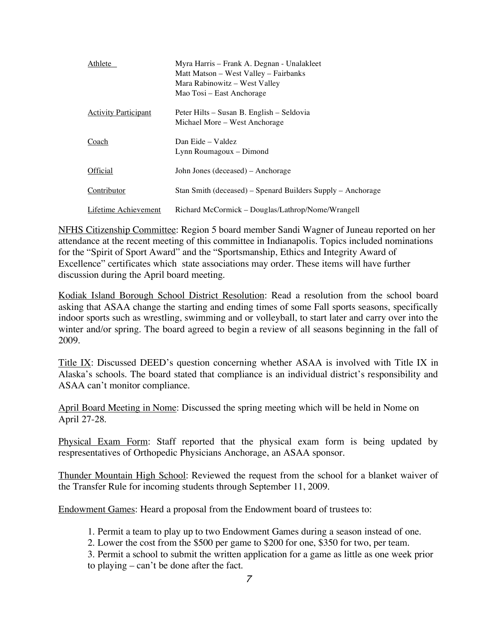| Athlete                     | Myra Harris – Frank A. Degnan - Unalakleet<br>Matt Matson – West Valley – Fairbanks<br>Mara Rabinowitz – West Valley<br>Mao Tosi – East Anchorage |
|-----------------------------|---------------------------------------------------------------------------------------------------------------------------------------------------|
| <b>Activity Participant</b> | Peter Hilts – Susan B. English – Seldovia<br>Michael More – West Anchorage                                                                        |
| Coach                       | Dan Eide - Valdez<br>Lynn Roumagoux – Dimond                                                                                                      |
| Official                    | John Jones (deceased) – Anchorage                                                                                                                 |
| Contributor                 | Stan Smith (deceased) – Spenard Builders Supply – Anchorage                                                                                       |
| Lifetime Achievement        | Richard McCormick – Douglas/Lathrop/Nome/Wrangell                                                                                                 |

NFHS Citizenship Committee: Region 5 board member Sandi Wagner of Juneau reported on her attendance at the recent meeting of this committee in Indianapolis. Topics included nominations for the "Spirit of Sport Award" and the "Sportsmanship, Ethics and Integrity Award of Excellence" certificates which state associations may order. These items will have further discussion during the April board meeting.

Kodiak Island Borough School District Resolution: Read a resolution from the school board asking that ASAA change the starting and ending times of some Fall sports seasons, specifically indoor sports such as wrestling, swimming and or volleyball, to start later and carry over into the winter and/or spring. The board agreed to begin a review of all seasons beginning in the fall of 2009.

Title IX: Discussed DEED's question concerning whether ASAA is involved with Title IX in Alaska's schools. The board stated that compliance is an individual district's responsibility and ASAA can't monitor compliance.

April Board Meeting in Nome: Discussed the spring meeting which will be held in Nome on April 27-28.

Physical Exam Form: Staff reported that the physical exam form is being updated by respresentatives of Orthopedic Physicians Anchorage, an ASAA sponsor.

Thunder Mountain High School: Reviewed the request from the school for a blanket waiver of the Transfer Rule for incoming students through September 11, 2009.

Endowment Games: Heard a proposal from the Endowment board of trustees to:

1. Permit a team to play up to two Endowment Games during a season instead of one.

2. Lower the cost from the \$500 per game to \$200 for one, \$350 for two, per team.

3. Permit a school to submit the written application for a game as little as one week prior to playing – can't be done after the fact.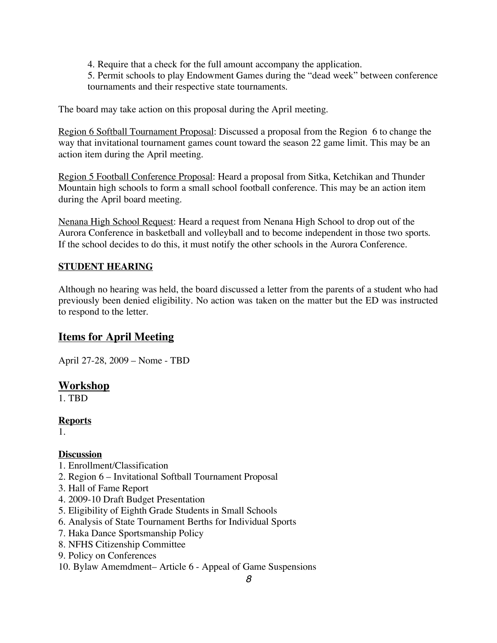4. Require that a check for the full amount accompany the application.

5. Permit schools to play Endowment Games during the "dead week" between conference tournaments and their respective state tournaments.

The board may take action on this proposal during the April meeting.

Region 6 Softball Tournament Proposal: Discussed a proposal from the Region 6 to change the way that invitational tournament games count toward the season 22 game limit. This may be an action item during the April meeting.

Region 5 Football Conference Proposal: Heard a proposal from Sitka, Ketchikan and Thunder Mountain high schools to form a small school football conference. This may be an action item during the April board meeting.

Nenana High School Request: Heard a request from Nenana High School to drop out of the Aurora Conference in basketball and volleyball and to become independent in those two sports. If the school decides to do this, it must notify the other schools in the Aurora Conference.

## **STUDENT HEARING**

Although no hearing was held, the board discussed a letter from the parents of a student who had previously been denied eligibility. No action was taken on the matter but the ED was instructed to respond to the letter.

## **Items for April Meeting**

April 27-28, 2009 – Nome - TBD

## **Workshop**

1. TBD

#### **Reports**

1.

## **Discussion**

- 1. Enrollment/Classification
- 2. Region 6 Invitational Softball Tournament Proposal
- 3. Hall of Fame Report
- 4. 2009-10 Draft Budget Presentation
- 5. Eligibility of Eighth Grade Students in Small Schools
- 6. Analysis of State Tournament Berths for Individual Sports
- 7. Haka Dance Sportsmanship Policy
- 8. NFHS Citizenship Committee
- 9. Policy on Conferences
- 10. Bylaw Amemdment– Article 6 Appeal of Game Suspensions